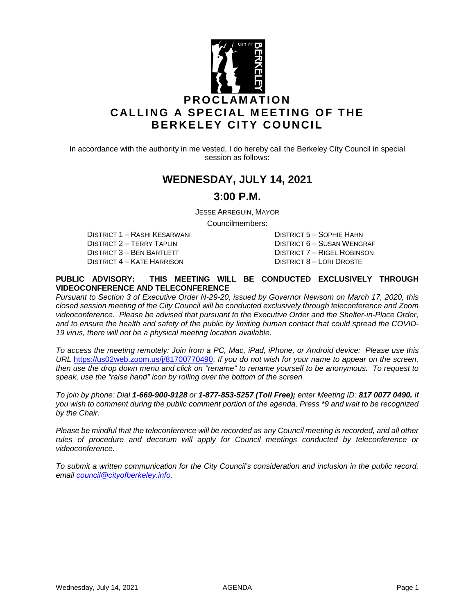

In accordance with the authority in me vested, I do hereby call the Berkeley City Council in special session as follows:

## **WEDNESDAY, JULY 14, 2021**

## **3:00 P.M.**

JESSE ARREGUIN, MAYOR

Councilmembers:

DISTRICT 1 – RASHI KESARWANI DISTRICT 5 – SOPHIE HAHN DISTRICT 3 – BEN BARTLETT DISTRICT 7 – RIGEL ROBINSON DISTRICT 4 – KATE HARRISON DISTRICT 8 – LORI DROSTE

DISTRICT 6 – SUSAN WENGRAF

#### **PUBLIC ADVISORY: THIS MEETING WILL BE CONDUCTED EXCLUSIVELY THROUGH VIDEOCONFERENCE AND TELECONFERENCE**

*Pursuant to Section 3 of Executive Order N-29-20, issued by Governor Newsom on March 17, 2020, this closed session meeting of the City Council will be conducted exclusively through teleconference and Zoom videoconference. Please be advised that pursuant to the Executive Order and the Shelter-in-Place Order, and to ensure the health and safety of the public by limiting human contact that could spread the COVID-19 virus, there will not be a physical meeting location available.* 

*To access the meeting remotely: Join from a PC, Mac, iPad, iPhone, or Android device: Please use this URL* [https://us02web.zoom.us/j/81700770490.](https://us02web.zoom.us/j/81700770490) *If you do not wish for your name to appear on the screen, then use the drop down menu and click on "rename" to rename yourself to be anonymous. To request to speak, use the "raise hand" icon by rolling over the bottom of the screen.* 

*To join by phone: Dial 1-669-900-9128 or 1-877-853-5257 (Toll Free); enter Meeting ID: 817 0077 0490. If you wish to comment during the public comment portion of the agenda, Press \*9 and wait to be recognized by the Chair.* 

*Please be mindful that the teleconference will be recorded as any Council meeting is recorded, and all other rules of procedure and decorum will apply for Council meetings conducted by teleconference or videoconference.*

*To submit a written communication for the City Council's consideration and inclusion in the public record, email [council@cityofberkeley.info.](mailto:council@cityofberkeley.info)*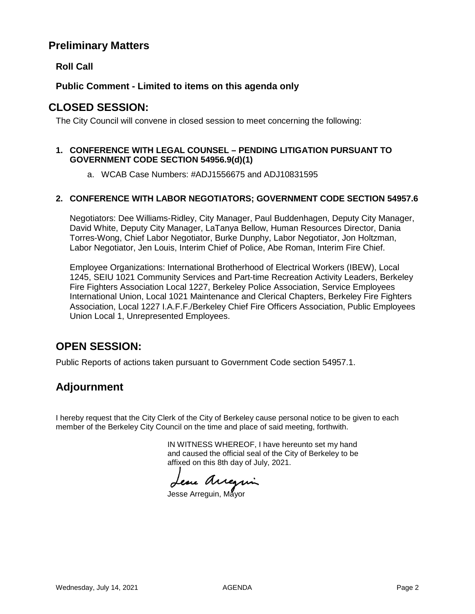## **Preliminary Matters**

**Roll Call**

**Public Comment - Limited to items on this agenda only**

### **CLOSED SESSION:**

The City Council will convene in closed session to meet concerning the following:

### **1. CONFERENCE WITH LEGAL COUNSEL – PENDING LITIGATION PURSUANT TO GOVERNMENT CODE SECTION 54956.9(d)(1)**

a. WCAB Case Numbers: #ADJ1556675 and ADJ10831595

### **2. CONFERENCE WITH LABOR NEGOTIATORS; GOVERNMENT CODE SECTION 54957.6**

Negotiators: Dee Williams-Ridley, City Manager, Paul Buddenhagen, Deputy City Manager, David White, Deputy City Manager, LaTanya Bellow, Human Resources Director, Dania Torres-Wong, Chief Labor Negotiator, Burke Dunphy, Labor Negotiator, Jon Holtzman, Labor Negotiator, Jen Louis, Interim Chief of Police, Abe Roman, Interim Fire Chief.

Employee Organizations: International Brotherhood of Electrical Workers (IBEW), Local 1245, SEIU 1021 Community Services and Part-time Recreation Activity Leaders, Berkeley Fire Fighters Association Local 1227, Berkeley Police Association, Service Employees International Union, Local 1021 Maintenance and Clerical Chapters, Berkeley Fire Fighters Association, Local 1227 I.A.F.F./Berkeley Chief Fire Officers Association, Public Employees Union Local 1, Unrepresented Employees.

# **OPEN SESSION:**

Public Reports of actions taken pursuant to Government Code section 54957.1.

# **Adjournment**

I hereby request that the City Clerk of the City of Berkeley cause personal notice to be given to each member of the Berkeley City Council on the time and place of said meeting, forthwith.

> IN WITNESS WHEREOF, I have hereunto set my hand and caused the official seal of the City of Berkeley to be affixed on this 8th day of July, 2021.

Lesse Arregain

Jesse Arreguin, Mayor